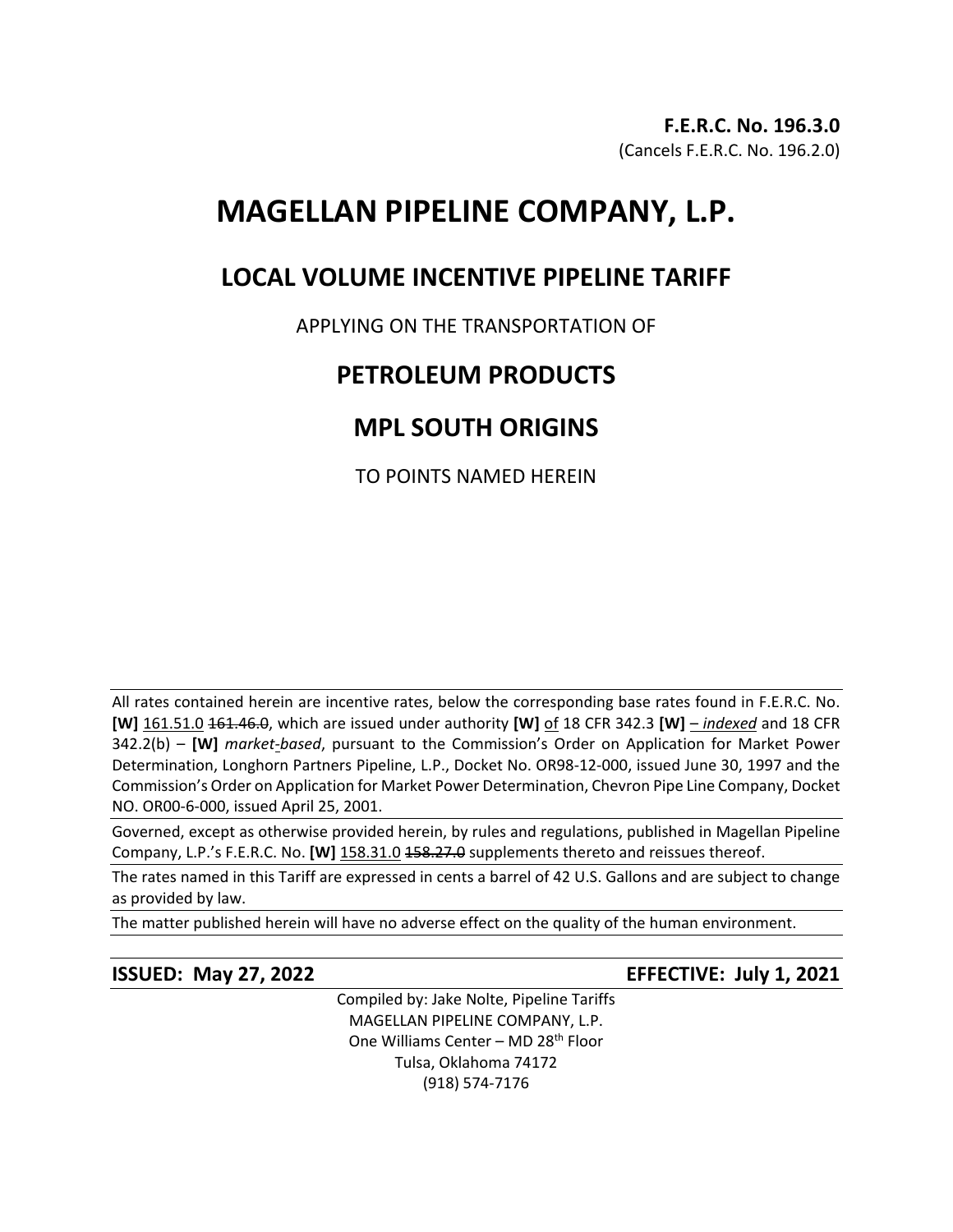# **MAGELLAN PIPELINE COMPANY, L.P.**

## **LOCAL VOLUME INCENTIVE PIPELINE TARIFF**

## APPLYING ON THE TRANSPORTATION OF

## **PETROLEUM PRODUCTS**

## **MPL SOUTH ORIGINS**

TO POINTS NAMED HEREIN

All rates contained herein are incentive rates, below the corresponding base rates found in F.E.R.C. No. **[W]** 161.51.0 161.46.0, which are issued under authority **[W]** of 18 CFR 342.3 **[W]** – *indexed* and 18 CFR 342.2(b) – **[W]** *market-based*, pursuant to the Commission's Order on Application for Market Power Determination, Longhorn Partners Pipeline, L.P., Docket No. OR98-12-000, issued June 30, 1997 and the Commission's Order on Application for Market Power Determination, Chevron Pipe Line Company, Docket NO. OR00-6-000, issued April 25, 2001.

Governed, except as otherwise provided herein, by rules and regulations, published in Magellan Pipeline Company, L.P.'s F.E.R.C. No. **[W]** 158.31.0 458.27.0 supplements thereto and reissues thereof.

The rates named in this Tariff are expressed in cents a barrel of 42 U.S. Gallons and are subject to change as provided by law.

The matter published herein will have no adverse effect on the quality of the human environment.

**ISSUED: May 27, 2022 EFFECTIVE: July 1, 2021**

Compiled by: Jake Nolte, Pipeline Tariffs MAGELLAN PIPELINE COMPANY, L.P. One Williams Center - MD 28<sup>th</sup> Floor Tulsa, Oklahoma 74172 (918) 574-7176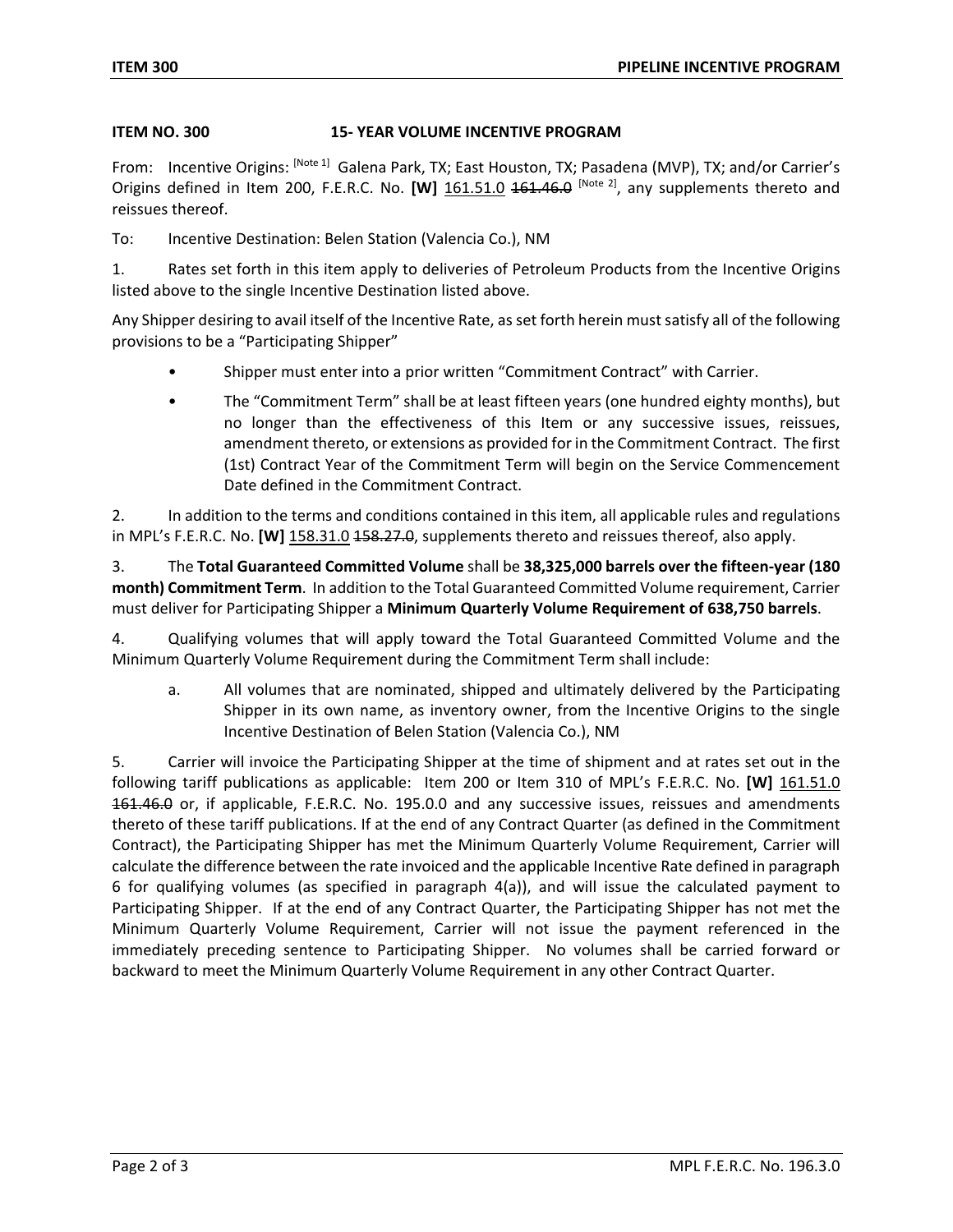### **ITEM NO. 300 15- YEAR VOLUME INCENTIVE PROGRAM**

From: Incentive Origins: [Note 1] Galena Park, TX; East Houston, TX; Pasadena (MVP), TX; and/or Carrier's Origins defined in Item 200, F.E.R.C. No. **[W]** 161.51.0 <del>161.46.0</del> [Note 2], any supplements thereto and reissues thereof.

To: Incentive Destination: Belen Station (Valencia Co.), NM

1. Rates set forth in this item apply to deliveries of Petroleum Products from the Incentive Origins listed above to the single Incentive Destination listed above.

Any Shipper desiring to avail itself of the Incentive Rate, as set forth herein must satisfy all of the following provisions to be a "Participating Shipper"

- Shipper must enter into a prior written "Commitment Contract" with Carrier.
- The "Commitment Term" shall be at least fifteen years (one hundred eighty months), but no longer than the effectiveness of this Item or any successive issues, reissues, amendment thereto, or extensions as provided for in the Commitment Contract. The first (1st) Contract Year of the Commitment Term will begin on the Service Commencement Date defined in the Commitment Contract.

2. In addition to the terms and conditions contained in this item, all applicable rules and regulations in MPL's F.E.R.C. No. **[W]** 158.31.0 158.27.0, supplements thereto and reissues thereof, also apply.

3. The **Total Guaranteed Committed Volume** shall be **38,325,000 barrels over the fifteen-year (180 month) Commitment Term**. In addition to the Total Guaranteed Committed Volume requirement, Carrier must deliver for Participating Shipper a **Minimum Quarterly Volume Requirement of 638,750 barrels**.

4. Qualifying volumes that will apply toward the Total Guaranteed Committed Volume and the Minimum Quarterly Volume Requirement during the Commitment Term shall include:

a. All volumes that are nominated, shipped and ultimately delivered by the Participating Shipper in its own name, as inventory owner, from the Incentive Origins to the single Incentive Destination of Belen Station (Valencia Co.), NM

5. Carrier will invoice the Participating Shipper at the time of shipment and at rates set out in the following tariff publications as applicable: Item 200 or Item 310 of MPL's F.E.R.C. No. **[W]** 161.51.0 161.46.0 or, if applicable, F.E.R.C. No. 195.0.0 and any successive issues, reissues and amendments thereto of these tariff publications. If at the end of any Contract Quarter (as defined in the Commitment Contract), the Participating Shipper has met the Minimum Quarterly Volume Requirement, Carrier will calculate the difference between the rate invoiced and the applicable Incentive Rate defined in paragraph 6 for qualifying volumes (as specified in paragraph 4(a)), and will issue the calculated payment to Participating Shipper. If at the end of any Contract Quarter, the Participating Shipper has not met the Minimum Quarterly Volume Requirement, Carrier will not issue the payment referenced in the immediately preceding sentence to Participating Shipper. No volumes shall be carried forward or backward to meet the Minimum Quarterly Volume Requirement in any other Contract Quarter.